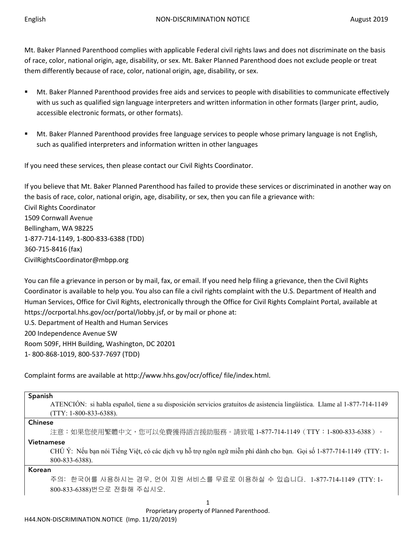Mt. Baker Planned Parenthood complies with applicable Federal civil rights laws and does not discriminate on the basis of race, color, national origin, age, disability, or sex. Mt. Baker Planned Parenthood does not exclude people or treat them differently because of race, color, national origin, age, disability, or sex.

- Mt. Baker Planned Parenthood provides free aids and services to people with disabilities to communicate effectively with us such as qualified sign language interpreters and written information in other formats (larger print, audio, accessible electronic formats, or other formats).
- Mt. Baker Planned Parenthood provides free language services to people whose primary language is not English, such as qualified interpreters and information written in other languages

If you need these services, then please contact our Civil Rights Coordinator.

If you believe that Mt. Baker Planned Parenthood has failed to provide these services or discriminated in another way on the basis of race, color, national origin, age, disability, or sex, then you can file a grievance with: Civil Rights Coordinator 1509 Cornwall Avenue Bellingham, WA 98225 1-877-714-1149, 1-800-833-6388 (TDD) 360-715-8416 (fax) CivilRightsCoordinator@mbpp.org

You can file a grievance in person or by mail, fax, or email. If you need help filing a grievance, then the Civil Rights Coordinator is available to help you. You also can file a civil rights complaint with the U.S. Department of Health and Human Services, Office for Civil Rights, electronically through the Office for Civil Rights Complaint Portal, available at https://ocrportal.hhs.gov/ocr/portal/lobby.jsf, or by mail or phone at: U.S. Department of Health and Human Services 200 Independence Avenue SW

Room 509F, HHH Building, Washington, DC 20201 1- 800-868-1019, 800-537-7697 (TDD)

Complaint forms are available at http://www.hhs.gov/ocr/office/ file/index.html.

| Spanish<br>ATENCIÓN: si habla español, tiene a su disposición servicios gratuitos de asistencia lingüística. Llame al 1-877-714-1149<br>$(TTY: 1-800-833-6388).$ |
|------------------------------------------------------------------------------------------------------------------------------------------------------------------|
| <b>Chinese</b>                                                                                                                                                   |
| 注意:如果您使用繁體中文,您可以免費獲得語言援助服務。請致電 1-877-714-1149(TTY:1-800-833-6388)。                                                                                               |
| Vietnamese                                                                                                                                                       |
| CHÚ Ý: Nếu bạn nói Tiếng Việt, có các dịch vụ hỗ trợ ngôn ngữ miễn phí dành cho bạn. Gọi số 1-877-714-1149 (TTY: 1-                                              |
| 800-833-6388).                                                                                                                                                   |
| Korean                                                                                                                                                           |
| 주의: 한국어를 사용하시는 경우, 언어 지원 서비스를 무료로 이용하실 수 있습니다. 1-877-714-1149 (TTY: 1-                                                                                           |
| 800-833-6388)번으로 전화해 주십시오.                                                                                                                                       |
|                                                                                                                                                                  |